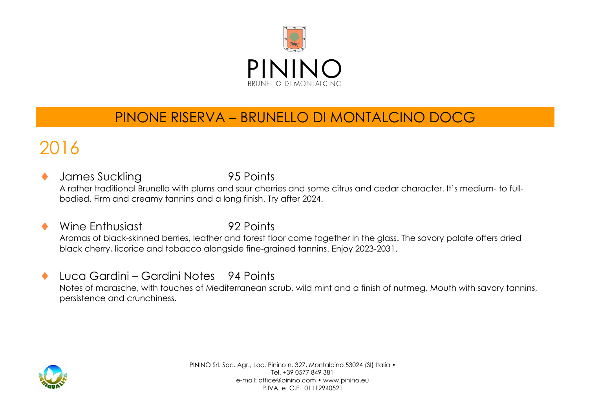

#### PINONE RISERVA – BRUNELLO DI MONTALCINO DOCG

## 2016

- James Suckling 195 Points A rather traditional Brunello with plums and sour cherries and some citrus and cedar character. It's medium- to fullbodied. Firm and creamy tannins and a long finish. Try after 2024.
- Wine Enthusiast **92 Points** Aromas of black-skinned berries, leather and forest floor come together in the glass. The savory palate offers dried black cherry, licorice and tobacco alongside fine-grained tannins. Enjoy 2023-2031.
- ◆ Luca Gardini Gardini Notes 94 Points Notes of marasche, with touches of Mediterranean scrub, wild mint and a finish of nutmeg. Mouth with savory tannins, persistence and crunchiness.



PININO Srl. Soc. Agr., Loc. Pinino n. 327, Montalcino 53024 (SI) Italia • Tel. +39 0577 849 381 e-mail: office@pinino.com • www.pinino.eu P.IVA e C.F. 01112940521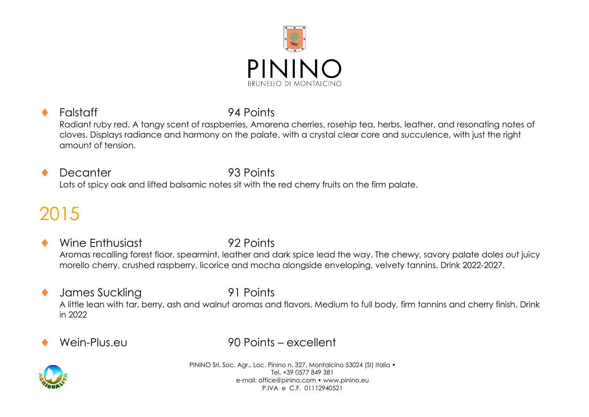

#### Falstaff 94 Points Radiant ruby red. A tangy scent of raspberries, Amarena cherries, rosehip tea, herbs, leather, and resonating notes of cloves. Displays radiance and harmony on the palate, with a crystal clear core and succulence, with just the right amount of tension.

 Decanter 93 Points Lots of spicy oak and lifted balsamic notes sit with the red cherry fruits on the firm palate.

## 2015

- Wine Enthusiast 92 Points Aromas recalling forest floor, spearmint, leather and dark spice lead the way. The chewy, savory palate doles out juicy morello cherry, crushed raspberry, licorice and mocha alongside enveloping, velvety tannins. Drink 2022-2027.
- ◆ James Suckling 91 Points A little lean with tar, berry, ash and walnut aromas and flavors. Medium to full body, firm tannins and cherry finish. Drink in 2022
- 

Wein-Plus.eu 90 Points – excellent



PININO Srl. Soc. Agr., Loc. Pinino n. 327, Montalcino 53024 (SI) Italia • Tel. +39 0577 849 381 e-mail: office@pinino.com • www.pinino.eu P.IVA e C.F. 01112940521